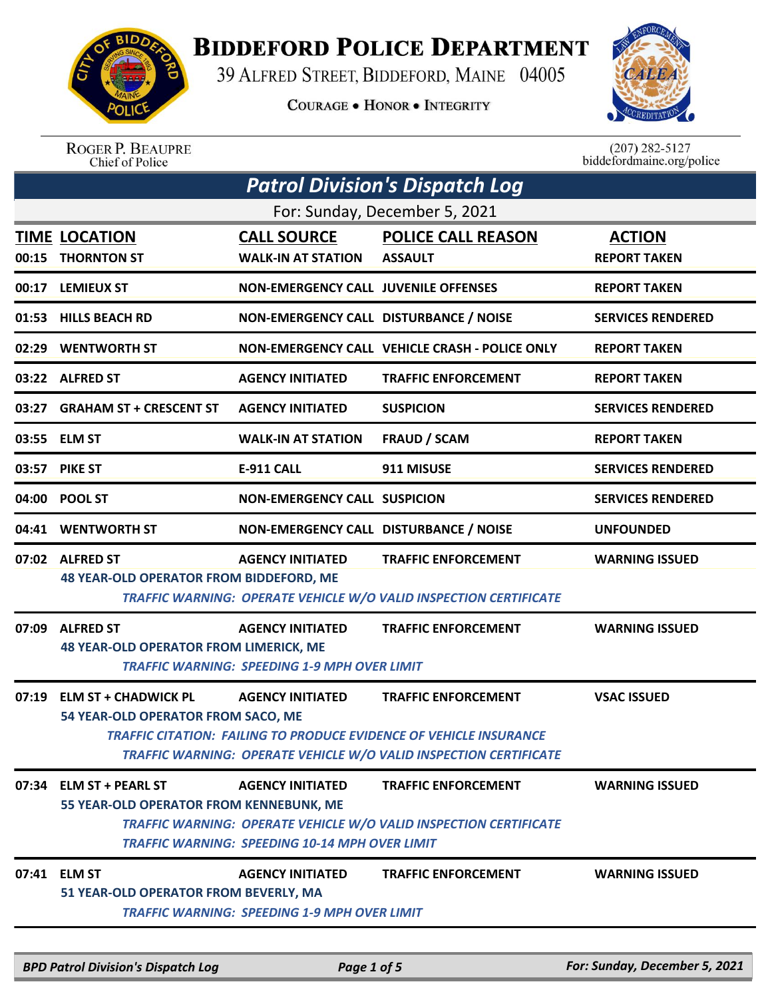

## **BIDDEFORD POLICE DEPARTMENT**

39 ALFRED STREET, BIDDEFORD, MAINE 04005

**COURAGE . HONOR . INTEGRITY** 



ROGER P. BEAUPRE<br>Chief of Police

 $(207)$  282-5127 biddefordmaine.org/police

|                                                                                           | <b>Patrol Division's Dispatch Log</b>                              |                                                                                  |                                                                                                                                                                       |                                      |  |  |
|-------------------------------------------------------------------------------------------|--------------------------------------------------------------------|----------------------------------------------------------------------------------|-----------------------------------------------------------------------------------------------------------------------------------------------------------------------|--------------------------------------|--|--|
|                                                                                           | For: Sunday, December 5, 2021                                      |                                                                                  |                                                                                                                                                                       |                                      |  |  |
|                                                                                           | <b>TIME LOCATION</b><br>00:15 THORNTON ST                          | <b>CALL SOURCE</b><br><b>WALK-IN AT STATION</b>                                  | <b>POLICE CALL REASON</b><br><b>ASSAULT</b>                                                                                                                           | <b>ACTION</b><br><b>REPORT TAKEN</b> |  |  |
|                                                                                           | 00:17 LEMIEUX ST                                                   | <b>NON-EMERGENCY CALL JUVENILE OFFENSES</b>                                      |                                                                                                                                                                       | <b>REPORT TAKEN</b>                  |  |  |
|                                                                                           | 01:53 HILLS BEACH RD                                               | NON-EMERGENCY CALL DISTURBANCE / NOISE                                           |                                                                                                                                                                       | <b>SERVICES RENDERED</b>             |  |  |
|                                                                                           | 02:29 WENTWORTH ST                                                 |                                                                                  | NON-EMERGENCY CALL VEHICLE CRASH - POLICE ONLY                                                                                                                        | <b>REPORT TAKEN</b>                  |  |  |
|                                                                                           | 03:22 ALFRED ST                                                    | <b>AGENCY INITIATED</b>                                                          | <b>TRAFFIC ENFORCEMENT</b>                                                                                                                                            | <b>REPORT TAKEN</b>                  |  |  |
| 03:27                                                                                     | <b>GRAHAM ST + CRESCENT ST</b>                                     | <b>AGENCY INITIATED</b>                                                          | <b>SUSPICION</b>                                                                                                                                                      | <b>SERVICES RENDERED</b>             |  |  |
|                                                                                           | 03:55 ELM ST                                                       | <b>WALK-IN AT STATION</b>                                                        | <b>FRAUD / SCAM</b>                                                                                                                                                   | <b>REPORT TAKEN</b>                  |  |  |
| 03:57                                                                                     | <b>PIKE ST</b>                                                     | <b>E-911 CALL</b>                                                                | 911 MISUSE                                                                                                                                                            | <b>SERVICES RENDERED</b>             |  |  |
| 04:00                                                                                     | <b>POOL ST</b>                                                     | <b>NON-EMERGENCY CALL SUSPICION</b>                                              |                                                                                                                                                                       | <b>SERVICES RENDERED</b>             |  |  |
|                                                                                           | 04:41 WENTWORTH ST                                                 |                                                                                  | NON-EMERGENCY CALL DISTURBANCE / NOISE                                                                                                                                | <b>UNFOUNDED</b>                     |  |  |
|                                                                                           | 07:02 ALFRED ST<br><b>48 YEAR-OLD OPERATOR FROM BIDDEFORD, ME</b>  | <b>AGENCY INITIATED</b>                                                          | <b>TRAFFIC ENFORCEMENT</b><br>TRAFFIC WARNING: OPERATE VEHICLE W/O VALID INSPECTION CERTIFICATE                                                                       | <b>WARNING ISSUED</b>                |  |  |
| 07:09                                                                                     | <b>ALFRED ST</b><br><b>48 YEAR-OLD OPERATOR FROM LIMERICK, ME</b>  | <b>AGENCY INITIATED</b><br><b>TRAFFIC WARNING: SPEEDING 1-9 MPH OVER LIMIT</b>   | <b>TRAFFIC ENFORCEMENT</b>                                                                                                                                            | <b>WARNING ISSUED</b>                |  |  |
| 07:19                                                                                     | <b>ELM ST + CHADWICK PL</b><br>54 YEAR-OLD OPERATOR FROM SACO, ME  | <b>AGENCY INITIATED</b>                                                          | <b>TRAFFIC ENFORCEMENT</b><br>TRAFFIC CITATION: FAILING TO PRODUCE EVIDENCE OF VEHICLE INSURANCE<br>TRAFFIC WARNING: OPERATE VEHICLE W/O VALID INSPECTION CERTIFICATE | <b>VSAC ISSUED</b>                   |  |  |
|                                                                                           | 07:34 ELM ST + PEARL ST<br>55 YEAR-OLD OPERATOR FROM KENNEBUNK, ME | <b>AGENCY INITIATED</b><br><b>TRAFFIC WARNING: SPEEDING 10-14 MPH OVER LIMIT</b> | <b>TRAFFIC ENFORCEMENT</b><br>TRAFFIC WARNING: OPERATE VEHICLE W/O VALID INSPECTION CERTIFICATE                                                                       | <b>WARNING ISSUED</b>                |  |  |
|                                                                                           | 07:41 ELM ST<br>51 YEAR-OLD OPERATOR FROM BEVERLY, MA              | <b>AGENCY INITIATED</b><br><b>TRAFFIC WARNING: SPEEDING 1-9 MPH OVER LIMIT</b>   | <b>TRAFFIC ENFORCEMENT</b>                                                                                                                                            | <b>WARNING ISSUED</b>                |  |  |
| For: Sunday, December 5, 2021<br><b>BPD Patrol Division's Dispatch Log</b><br>Page 1 of 5 |                                                                    |                                                                                  |                                                                                                                                                                       |                                      |  |  |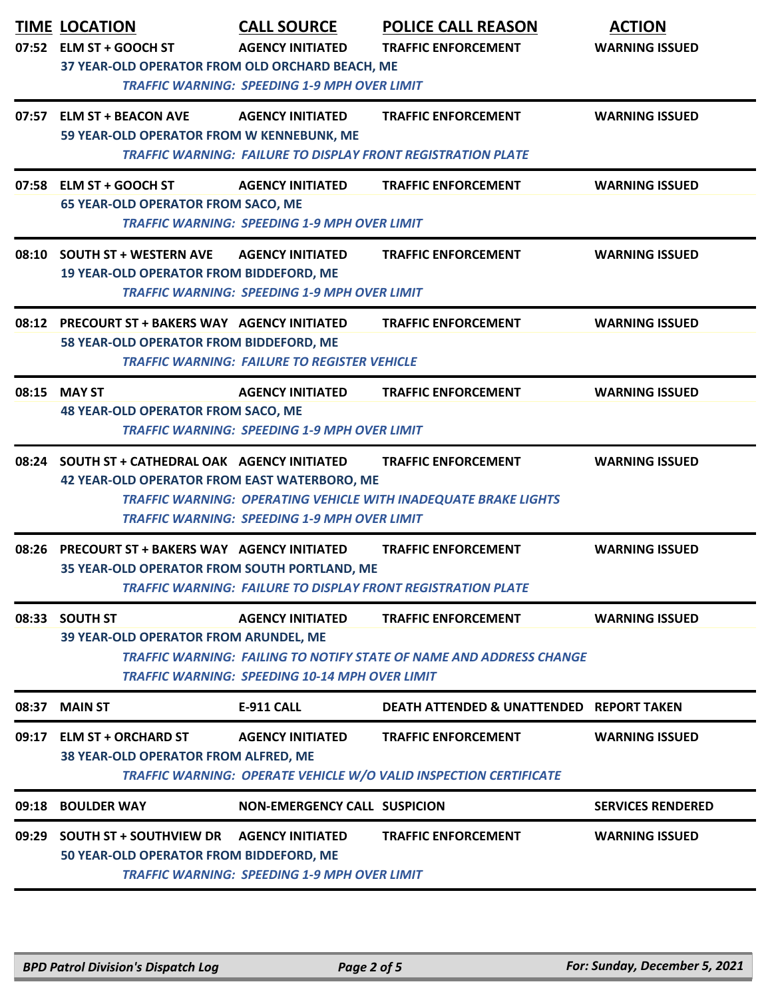|       | <b>TIME LOCATION</b><br>07:52 ELM ST + GOOCH ST                                                                                                                              | <b>CALL SOURCE</b><br><b>AGENCY INITIATED</b>                                  | <b>POLICE CALL REASON</b><br><b>TRAFFIC ENFORCEMENT</b>                                              | <b>ACTION</b><br><b>WARNING ISSUED</b> |
|-------|------------------------------------------------------------------------------------------------------------------------------------------------------------------------------|--------------------------------------------------------------------------------|------------------------------------------------------------------------------------------------------|----------------------------------------|
|       | 37 YEAR-OLD OPERATOR FROM OLD ORCHARD BEACH, ME<br><b>TRAFFIC WARNING: SPEEDING 1-9 MPH OVER LIMIT</b>                                                                       |                                                                                |                                                                                                      |                                        |
|       | 07:57 ELM ST + BEACON AVE<br>59 YEAR-OLD OPERATOR FROM W KENNEBUNK, ME                                                                                                       | <b>AGENCY INITIATED</b>                                                        | <b>TRAFFIC ENFORCEMENT</b>                                                                           | <b>WARNING ISSUED</b>                  |
|       |                                                                                                                                                                              |                                                                                | <b>TRAFFIC WARNING: FAILURE TO DISPLAY FRONT REGISTRATION PLATE</b>                                  |                                        |
|       | 07:58 ELM ST + GOOCH ST<br><b>65 YEAR-OLD OPERATOR FROM SACO, ME</b>                                                                                                         | <b>AGENCY INITIATED</b><br><b>TRAFFIC WARNING: SPEEDING 1-9 MPH OVER LIMIT</b> | <b>TRAFFIC ENFORCEMENT</b>                                                                           | <b>WARNING ISSUED</b>                  |
|       | 08:10 SOUTH ST + WESTERN AVE<br>19 YEAR-OLD OPERATOR FROM BIDDEFORD, ME                                                                                                      | <b>AGENCY INITIATED</b><br><b>TRAFFIC WARNING: SPEEDING 1-9 MPH OVER LIMIT</b> | <b>TRAFFIC ENFORCEMENT</b>                                                                           | <b>WARNING ISSUED</b>                  |
|       | 08:12 PRECOURT ST + BAKERS WAY AGENCY INITIATED<br>58 YEAR-OLD OPERATOR FROM BIDDEFORD, ME                                                                                   | <b>TRAFFIC WARNING: FAILURE TO REGISTER VEHICLE</b>                            | <b>TRAFFIC ENFORCEMENT</b>                                                                           | <b>WARNING ISSUED</b>                  |
|       | 08:15 MAY ST<br><b>48 YEAR-OLD OPERATOR FROM SACO, ME</b>                                                                                                                    | <b>AGENCY INITIATED</b><br><b>TRAFFIC WARNING: SPEEDING 1-9 MPH OVER LIMIT</b> | <b>TRAFFIC ENFORCEMENT</b>                                                                           | <b>WARNING ISSUED</b>                  |
|       | 08:24 SOUTH ST + CATHEDRAL OAK AGENCY INITIATED<br><b>42 YEAR-OLD OPERATOR FROM EAST WATERBORO, ME</b>                                                                       | <b>TRAFFIC WARNING: SPEEDING 1-9 MPH OVER LIMIT</b>                            | <b>TRAFFIC ENFORCEMENT</b><br><b>TRAFFIC WARNING: OPERATING VEHICLE WITH INADEQUATE BRAKE LIGHTS</b> | <b>WARNING ISSUED</b>                  |
| 08:26 | <b>PRECOURT ST + BAKERS WAY AGENCY INITIATED</b><br>35 YEAR-OLD OPERATOR FROM SOUTH PORTLAND, ME                                                                             |                                                                                | <b>TRAFFIC ENFORCEMENT</b><br><b>TRAFFIC WARNING: FAILURE TO DISPLAY FRONT REGISTRATION PLATE</b>    | <b>WARNING ISSUED</b>                  |
|       | 08:33 SOUTH ST                                                                                                                                                               | <b>AGENCY INITIATED</b>                                                        | <b>TRAFFIC ENFORCEMENT</b>                                                                           | <b>WARNING ISSUED</b>                  |
|       | <b>39 YEAR-OLD OPERATOR FROM ARUNDEL, ME</b><br>TRAFFIC WARNING: FAILING TO NOTIFY STATE OF NAME AND ADDRESS CHANGE<br><b>TRAFFIC WARNING: SPEEDING 10-14 MPH OVER LIMIT</b> |                                                                                |                                                                                                      |                                        |
| 08:37 | <b>MAIN ST</b>                                                                                                                                                               | <b>E-911 CALL</b>                                                              | <b>DEATH ATTENDED &amp; UNATTENDED REPORT TAKEN</b>                                                  |                                        |
| 09:17 | <b>ELM ST + ORCHARD ST</b><br>38 YEAR-OLD OPERATOR FROM ALFRED, ME                                                                                                           | <b>AGENCY INITIATED</b>                                                        | <b>TRAFFIC ENFORCEMENT</b><br>TRAFFIC WARNING: OPERATE VEHICLE W/O VALID INSPECTION CERTIFICATE      | <b>WARNING ISSUED</b>                  |
| 09:18 | <b>BOULDER WAY</b>                                                                                                                                                           | <b>NON-EMERGENCY CALL SUSPICION</b>                                            |                                                                                                      | <b>SERVICES RENDERED</b>               |
|       | 09:29 SOUTH ST + SOUTHVIEW DR<br>50 YEAR-OLD OPERATOR FROM BIDDEFORD, ME                                                                                                     | <b>AGENCY INITIATED</b><br><b>TRAFFIC WARNING: SPEEDING 1-9 MPH OVER LIMIT</b> | <b>TRAFFIC ENFORCEMENT</b>                                                                           | <b>WARNING ISSUED</b>                  |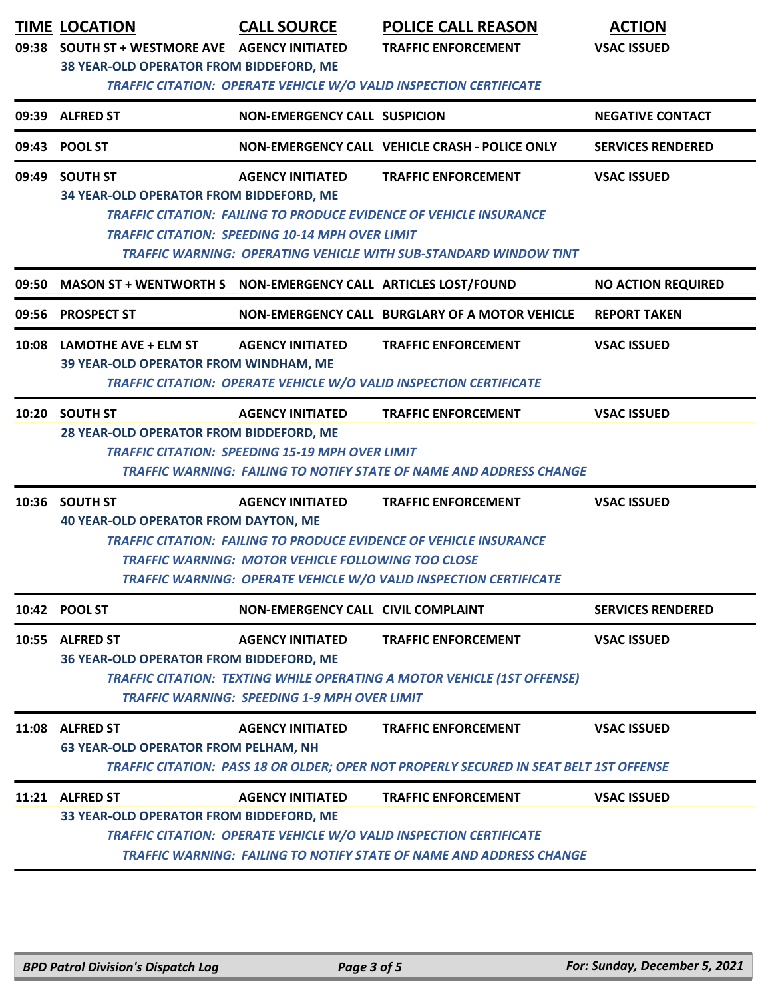|       | <b>TIME LOCATION</b><br>09:38 SOUTH ST + WESTMORE AVE AGENCY INITIATED<br>38 YEAR-OLD OPERATOR FROM BIDDEFORD, ME                                                                                                                                                            | <b>CALL SOURCE</b>                                                             | <b>POLICE CALL REASON</b><br><b>TRAFFIC ENFORCEMENT</b><br><b>TRAFFIC CITATION: OPERATE VEHICLE W/O VALID INSPECTION CERTIFICATE</b>                                           | <b>ACTION</b><br><b>VSAC ISSUED</b> |  |
|-------|------------------------------------------------------------------------------------------------------------------------------------------------------------------------------------------------------------------------------------------------------------------------------|--------------------------------------------------------------------------------|--------------------------------------------------------------------------------------------------------------------------------------------------------------------------------|-------------------------------------|--|
|       | 09:39 ALFRED ST                                                                                                                                                                                                                                                              | NON-EMERGENCY CALL SUSPICION                                                   |                                                                                                                                                                                | <b>NEGATIVE CONTACT</b>             |  |
|       | 09:43 POOL ST                                                                                                                                                                                                                                                                |                                                                                | NON-EMERGENCY CALL VEHICLE CRASH - POLICE ONLY                                                                                                                                 | <b>SERVICES RENDERED</b>            |  |
|       | 09:49 SOUTH ST<br>34 YEAR-OLD OPERATOR FROM BIDDEFORD, ME<br><b>TRAFFIC CITATION: FAILING TO PRODUCE EVIDENCE OF VEHICLE INSURANCE</b><br><b>TRAFFIC CITATION: SPEEDING 10-14 MPH OVER LIMIT</b><br><b>TRAFFIC WARNING: OPERATING VEHICLE WITH SUB-STANDARD WINDOW TINT</b>  | <b>VSAC ISSUED</b>                                                             |                                                                                                                                                                                |                                     |  |
| 09:50 |                                                                                                                                                                                                                                                                              |                                                                                |                                                                                                                                                                                | <b>NO ACTION REQUIRED</b>           |  |
|       | 09:56 PROSPECT ST                                                                                                                                                                                                                                                            |                                                                                | NON-EMERGENCY CALL BURGLARY OF A MOTOR VEHICLE                                                                                                                                 | <b>REPORT TAKEN</b>                 |  |
|       | 10:08 LAMOTHE AVE + ELM ST<br>39 YEAR-OLD OPERATOR FROM WINDHAM, ME                                                                                                                                                                                                          | <b>AGENCY INITIATED</b>                                                        | <b>TRAFFIC ENFORCEMENT</b><br>TRAFFIC CITATION: OPERATE VEHICLE W/O VALID INSPECTION CERTIFICATE                                                                               | <b>VSAC ISSUED</b>                  |  |
|       | 10:20 SOUTH ST<br><b>AGENCY INITIATED</b><br><b>TRAFFIC ENFORCEMENT</b><br><b>VSAC ISSUED</b><br>28 YEAR-OLD OPERATOR FROM BIDDEFORD, ME<br><b>TRAFFIC CITATION: SPEEDING 15-19 MPH OVER LIMIT</b><br>TRAFFIC WARNING: FAILING TO NOTIFY STATE OF NAME AND ADDRESS CHANGE    |                                                                                |                                                                                                                                                                                |                                     |  |
|       | 10:36 SOUTH ST<br><b>40 YEAR-OLD OPERATOR FROM DAYTON, ME</b><br><b>TRAFFIC CITATION: FAILING TO PRODUCE EVIDENCE OF VEHICLE INSURANCE</b><br><b>TRAFFIC WARNING: MOTOR VEHICLE FOLLOWING TOO CLOSE</b><br>TRAFFIC WARNING: OPERATE VEHICLE W/O VALID INSPECTION CERTIFICATE | <b>VSAC ISSUED</b>                                                             |                                                                                                                                                                                |                                     |  |
|       | 10:42 POOL ST                                                                                                                                                                                                                                                                | <b>NON-EMERGENCY CALL CIVIL COMPLAINT</b>                                      |                                                                                                                                                                                | <b>SERVICES RENDERED</b>            |  |
|       | 10:55 ALFRED ST<br>36 YEAR-OLD OPERATOR FROM BIDDEFORD, ME                                                                                                                                                                                                                   | <b>AGENCY INITIATED</b><br><b>TRAFFIC WARNING: SPEEDING 1-9 MPH OVER LIMIT</b> | <b>TRAFFIC ENFORCEMENT</b><br><b>TRAFFIC CITATION: TEXTING WHILE OPERATING A MOTOR VEHICLE (1ST OFFENSE)</b>                                                                   | <b>VSAC ISSUED</b>                  |  |
|       | 11:08 ALFRED ST<br><b>63 YEAR-OLD OPERATOR FROM PELHAM, NH</b>                                                                                                                                                                                                               | <b>AGENCY INITIATED</b>                                                        | <b>TRAFFIC ENFORCEMENT</b><br>TRAFFIC CITATION: PASS 18 OR OLDER; OPER NOT PROPERLY SECURED IN SEAT BELT 1ST OFFENSE                                                           | <b>VSAC ISSUED</b>                  |  |
|       | 11:21 ALFRED ST<br>33 YEAR-OLD OPERATOR FROM BIDDEFORD, ME                                                                                                                                                                                                                   | <b>AGENCY INITIATED</b>                                                        | <b>TRAFFIC ENFORCEMENT</b><br><b>TRAFFIC CITATION: OPERATE VEHICLE W/O VALID INSPECTION CERTIFICATE</b><br>TRAFFIC WARNING: FAILING TO NOTIFY STATE OF NAME AND ADDRESS CHANGE | <b>VSAC ISSUED</b>                  |  |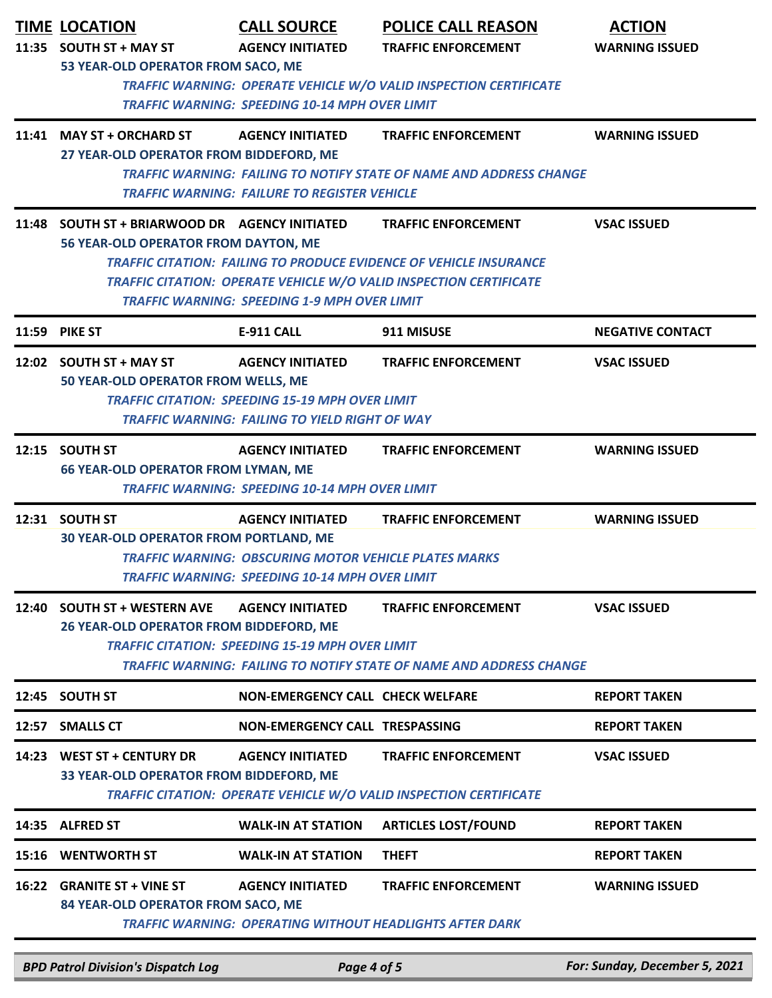|       | <b>TIME LOCATION</b><br>11:35 SOUTH ST + MAY ST<br>53 YEAR-OLD OPERATOR FROM SACO, ME                                                                                                                                                                                                                                                                       | <b>CALL SOURCE</b><br><b>AGENCY INITIATED</b><br><b>TRAFFIC WARNING: SPEEDING 10-14 MPH OVER LIMIT</b>                                     | <b>POLICE CALL REASON</b><br><b>TRAFFIC ENFORCEMENT</b><br><b>TRAFFIC WARNING: OPERATE VEHICLE W/O VALID INSPECTION CERTIFICATE</b> | <b>ACTION</b><br><b>WARNING ISSUED</b> |  |
|-------|-------------------------------------------------------------------------------------------------------------------------------------------------------------------------------------------------------------------------------------------------------------------------------------------------------------------------------------------------------------|--------------------------------------------------------------------------------------------------------------------------------------------|-------------------------------------------------------------------------------------------------------------------------------------|----------------------------------------|--|
|       | 11:41 MAY ST + ORCHARD ST<br>27 YEAR-OLD OPERATOR FROM BIDDEFORD, ME                                                                                                                                                                                                                                                                                        | <b>AGENCY INITIATED</b><br><b>TRAFFIC WARNING: FAILURE TO REGISTER VEHICLE</b>                                                             | <b>TRAFFIC ENFORCEMENT</b><br><b>TRAFFIC WARNING: FAILING TO NOTIFY STATE OF NAME AND ADDRESS CHANGE</b>                            | <b>WARNING ISSUED</b>                  |  |
|       | 11:48 SOUTH ST + BRIARWOOD DR AGENCY INITIATED<br><b>VSAC ISSUED</b><br><b>TRAFFIC ENFORCEMENT</b><br>56 YEAR-OLD OPERATOR FROM DAYTON, ME<br><b>TRAFFIC CITATION: FAILING TO PRODUCE EVIDENCE OF VEHICLE INSURANCE</b><br><b>TRAFFIC CITATION: OPERATE VEHICLE W/O VALID INSPECTION CERTIFICATE</b><br><b>TRAFFIC WARNING: SPEEDING 1-9 MPH OVER LIMIT</b> |                                                                                                                                            |                                                                                                                                     |                                        |  |
|       | <b>11:59 PIKE ST</b>                                                                                                                                                                                                                                                                                                                                        | <b>E-911 CALL</b>                                                                                                                          | 911 MISUSE                                                                                                                          | <b>NEGATIVE CONTACT</b>                |  |
|       | 12:02 SOUTH ST + MAY ST<br>50 YEAR-OLD OPERATOR FROM WELLS, ME                                                                                                                                                                                                                                                                                              | <b>AGENCY INITIATED</b><br><b>TRAFFIC CITATION: SPEEDING 15-19 MPH OVER LIMIT</b><br><b>TRAFFIC WARNING: FAILING TO YIELD RIGHT OF WAY</b> | <b>TRAFFIC ENFORCEMENT</b>                                                                                                          | <b>VSAC ISSUED</b>                     |  |
|       | 12:15 SOUTH ST<br><b>66 YEAR-OLD OPERATOR FROM LYMAN, ME</b>                                                                                                                                                                                                                                                                                                | <b>AGENCY INITIATED</b><br><b>TRAFFIC WARNING: SPEEDING 10-14 MPH OVER LIMIT</b>                                                           | <b>TRAFFIC ENFORCEMENT</b>                                                                                                          | <b>WARNING ISSUED</b>                  |  |
|       | 12:31 SOUTH ST<br><b>30 YEAR-OLD OPERATOR FROM PORTLAND, ME</b>                                                                                                                                                                                                                                                                                             | <b>AGENCY INITIATED</b><br><b>TRAFFIC WARNING: OBSCURING MOTOR VEHICLE PLATES MARKS</b><br>TRAFFIC WARNING: SPEEDING 10-14 MPH OVER LIMIT  | <b>TRAFFIC ENFORCEMENT</b>                                                                                                          | <b>WARNING ISSUED</b>                  |  |
|       | 12:40 SOUTH ST + WESTERN AVE<br><b>AGENCY INITIATED</b><br><b>TRAFFIC ENFORCEMENT</b><br>26 YEAR-OLD OPERATOR FROM BIDDEFORD, ME<br><b>TRAFFIC CITATION: SPEEDING 15-19 MPH OVER LIMIT</b><br><b>TRAFFIC WARNING: FAILING TO NOTIFY STATE OF NAME AND ADDRESS CHANGE</b>                                                                                    |                                                                                                                                            |                                                                                                                                     | <b>VSAC ISSUED</b>                     |  |
|       | 12:45 SOUTH ST                                                                                                                                                                                                                                                                                                                                              | <b>NON-EMERGENCY CALL CHECK WELFARE</b>                                                                                                    |                                                                                                                                     | <b>REPORT TAKEN</b>                    |  |
|       | 12:57 SMALLS CT                                                                                                                                                                                                                                                                                                                                             | NON-EMERGENCY CALL TRESPASSING                                                                                                             |                                                                                                                                     | <b>REPORT TAKEN</b>                    |  |
| 14:23 | <b>WEST ST + CENTURY DR</b><br><b>AGENCY INITIATED</b><br><b>TRAFFIC ENFORCEMENT</b><br><b>VSAC ISSUED</b><br>33 YEAR-OLD OPERATOR FROM BIDDEFORD, ME<br><b>TRAFFIC CITATION: OPERATE VEHICLE W/O VALID INSPECTION CERTIFICATE</b>                                                                                                                          |                                                                                                                                            |                                                                                                                                     |                                        |  |
| 14:35 | <b>ALFRED ST</b>                                                                                                                                                                                                                                                                                                                                            | <b>WALK-IN AT STATION</b>                                                                                                                  | <b>ARTICLES LOST/FOUND</b>                                                                                                          | <b>REPORT TAKEN</b>                    |  |
|       | 15:16 WENTWORTH ST                                                                                                                                                                                                                                                                                                                                          | <b>WALK-IN AT STATION</b>                                                                                                                  | <b>THEFT</b>                                                                                                                        | <b>REPORT TAKEN</b>                    |  |
|       | 16:22 GRANITE ST + VINE ST<br>84 YEAR-OLD OPERATOR FROM SACO, ME                                                                                                                                                                                                                                                                                            | <b>AGENCY INITIATED</b>                                                                                                                    | <b>TRAFFIC ENFORCEMENT</b><br><b>TRAFFIC WARNING: OPERATING WITHOUT HEADLIGHTS AFTER DARK</b>                                       | <b>WARNING ISSUED</b>                  |  |

*BPD Patrol Division's Dispatch Log Page 4 of 5 For: Sunday, December 5, 2021*